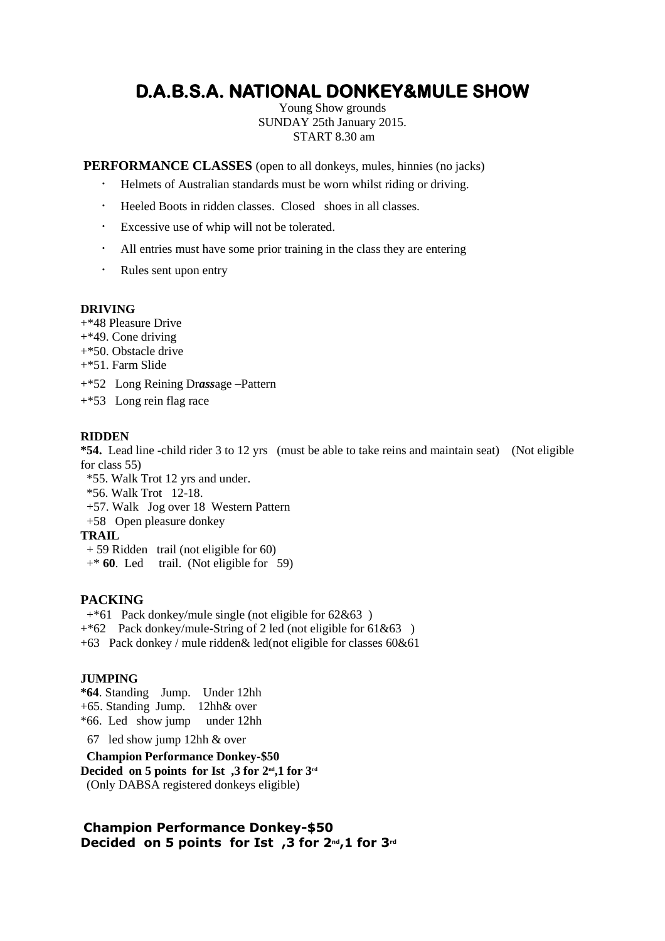# **D.A.B.S.A. NATIONAL DONKEY&MULE SHOW**

Young Show grounds SUNDAY 25th January 2015. START 8.30 am

**PERFORMANCE CLASSES** (open to all donkeys, mules, hinnies (no jacks)

- ・ Helmets of Australian standards must be worn whilst riding or driving.
- ・ Heeled Boots in ridden classes. Closed shoes in all classes.
- ・ Excessive use of whip will not be tolerated.
- ・ All entries must have some prior training in the class they are entering
- ・ Rules sent upon entry

#### **DRIVING**

+\*48 Pleasure Drive

- +\*49. Cone driving
- +\*50. Obstacle drive
- +\*51. Farm Slide
- +\*52 Long Reining Dr*ass*age –Pattern
- +\*53 Long rein flag race

#### **RIDDEN**

**\*54.** Lead line -child rider 3 to 12 yrs (must be able to take reins and maintain seat) (Not eligible for class 55)

- \*55. Walk Trot 12 yrs and under.
- \*56. Walk Trot 12-18.
- +57. Walk Jog over 18 Western Pattern
- +58 Open pleasure donkey

**TRAIL** 

- + 59 Ridden trail (not eligible for 60)
- +\* **60**. Led trail. (Not eligible for 59)

#### **PACKING**

 $+$ <sup>\*61</sup> Pack donkey/mule single (not eligible for 62&63)

+\*62 Pack donkey/mule-String of 2 led (not eligible for 61&63 )

+63 Pack donkey / mule ridden& led(not eligible for classes 60&61

#### **JUMPING**

**\*64**. Standing Jump. Under 12hh +65. Standing Jump. 12hh& over \*66. Led show jump under 12hh

67 led show jump 12hh & over

 **Champion Performance Donkey-\$50 Decided on 5 points for Ist ,3 for 2nd,1 for 3rd** (Only DABSA registered donkeys eligible)

### **Champion Performance Donkey-\$50 Decided on 5 points for Ist ,3 for 2nd,1 for 3rd**